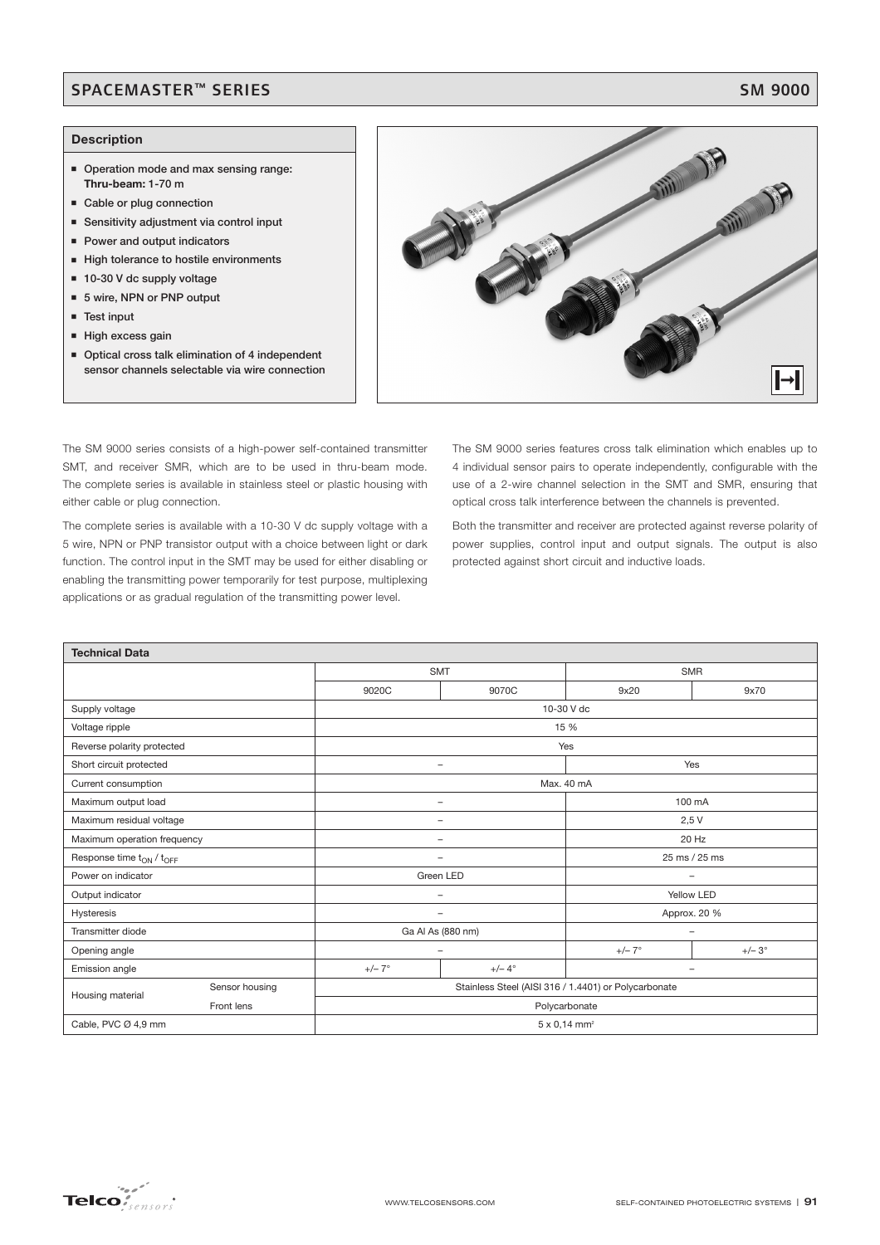## SPACEMASTER™ SERIES SM 9000

### **Description**

- **Operation mode and max sensing range: Thru-beam: 1-70 m**
- **Example or plug connection**
- **Sensitivity adjustment via control input**
- **Power and output indicators**
- **High tolerance to hostile environments**
- 10-30 V dc supply voltage
- 5 wire, NPN or PNP output
- **Test input**
- High excess gain
- **Deparation 12** Optical cross talk elimination of 4 independent **sensor channels selectable via wire connection**



The SM 9000 series consists of a high-power self-contained transmitter SMT, and receiver SMR, which are to be used in thru-beam mode. The complete series is available in stainless steel or plastic housing with either cable or plug connection.

The complete series is available with a 10-30 V dc supply voltage with a 5 wire, NPN or PNP transistor output with a choice between light or dark function. The control input in the SMT may be used for either disabling or enabling the transmitting power temporarily for test purpose, multiplexing applications or as gradual regulation of the transmitting power level.

The SM 9000 series features cross talk elimination which enables up to 4 individual sensor pairs to operate independently, configurable with the use of a 2-wire channel selection in the SMT and SMR, ensuring that optical cross talk interference between the channels is prevented.

Both the transmitter and receiver are protected against reverse polarity of power supplies, control input and output signals. The output is also protected against short circuit and inductive loads.

| <b>Technical Data</b>              |                |                                                      |                          |                          |              |  |
|------------------------------------|----------------|------------------------------------------------------|--------------------------|--------------------------|--------------|--|
|                                    |                | <b>SMT</b>                                           |                          | <b>SMR</b>               |              |  |
|                                    |                | 9020C                                                | 9070C                    | 9x20                     | 9x70         |  |
| Supply voltage                     |                | 10-30 V dc                                           |                          |                          |              |  |
| Voltage ripple                     |                | 15 %                                                 |                          |                          |              |  |
| Reverse polarity protected         |                | Yes                                                  |                          |                          |              |  |
| Short circuit protected            |                |                                                      |                          | Yes                      |              |  |
| Current consumption                |                | Max. 40 mA                                           |                          |                          |              |  |
| Maximum output load                |                | -                                                    |                          |                          | 100 mA       |  |
| Maximum residual voltage           |                |                                                      | $\overline{\phantom{0}}$ | 2,5V                     |              |  |
| Maximum operation frequency        |                | 20 Hz<br>$\overline{\phantom{a}}$                    |                          |                          |              |  |
| Response time $t_{ON}$ / $t_{OFF}$ |                | 25 ms / 25 ms<br>$\overline{\phantom{0}}$            |                          |                          |              |  |
| Power on indicator                 |                |                                                      | Green LED                | $\overline{\phantom{a}}$ |              |  |
| Output indicator                   |                | $\overline{\phantom{m}}$                             |                          | Yellow LED               |              |  |
| Hysteresis                         |                | Approx. 20 %<br>-                                    |                          |                          |              |  |
| Transmitter diode                  |                |                                                      | Ga Al As (880 nm)        | $\overline{\phantom{0}}$ |              |  |
| Opening angle                      |                | $\overline{\phantom{0}}$                             |                          | $+/- 7^\circ$            | $+/-3^\circ$ |  |
| Emission angle                     |                | $+/-7^\circ$                                         | $+/- 4^\circ$            | $\overline{\phantom{0}}$ |              |  |
| Housing material                   | Sensor housing | Stainless Steel (AISI 316 / 1.4401) or Polycarbonate |                          |                          |              |  |
|                                    | Front lens     | Polycarbonate                                        |                          |                          |              |  |
| Cable, PVC Ø 4,9 mm                |                | $5 \times 0,14$ mm <sup>2</sup>                      |                          |                          |              |  |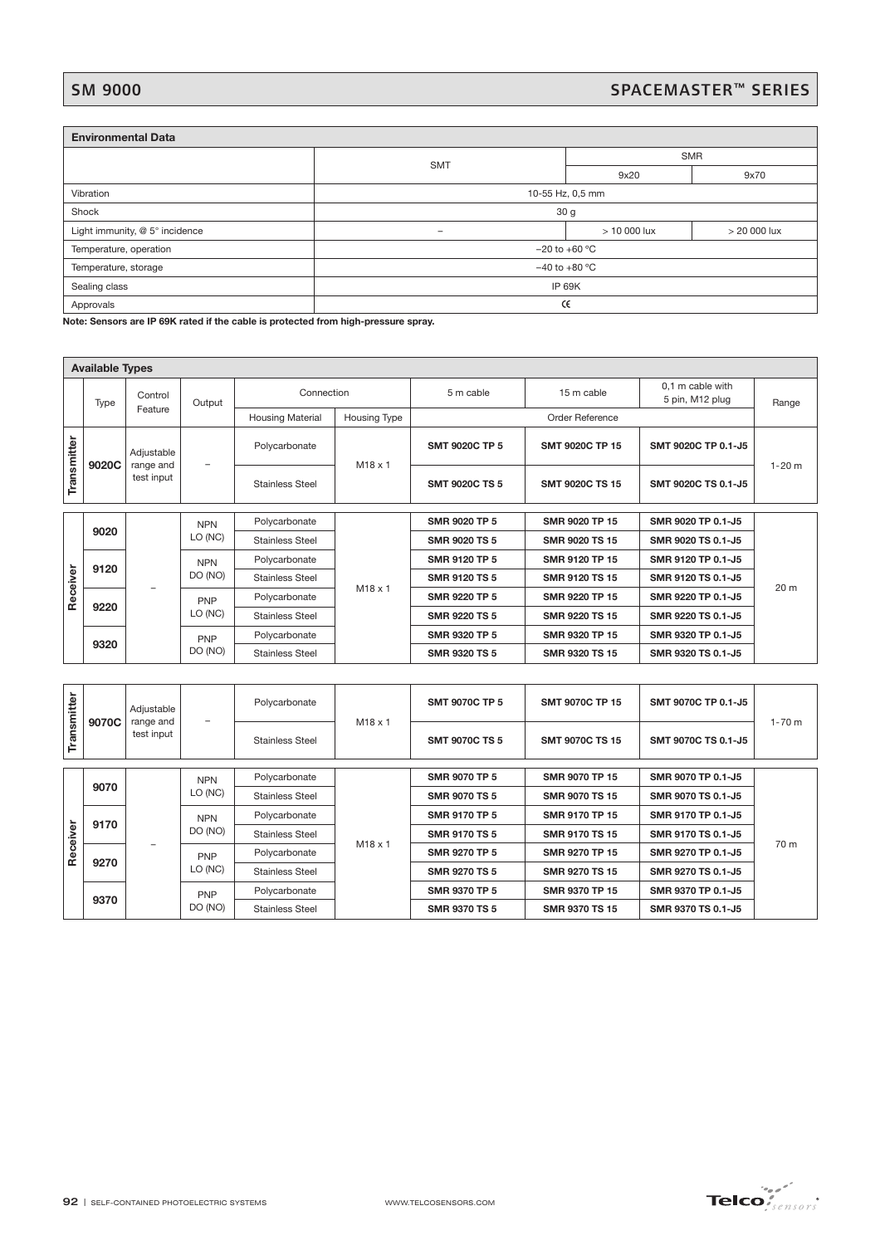# SM 9000<br>SPACEMASTER™ SERIES

| <b>Environmental Data</b>      |                                          |            |                |  |  |
|--------------------------------|------------------------------------------|------------|----------------|--|--|
|                                |                                          | <b>SMR</b> |                |  |  |
|                                | <b>SMT</b>                               | 9x20       | 9x70           |  |  |
| Vibration                      | 10-55 Hz, 0,5 mm                         |            |                |  |  |
| Shock                          | 30 <sub>g</sub>                          |            |                |  |  |
| Light immunity, @ 5° incidence | $>10000$ lux<br>$\overline{\phantom{0}}$ |            | $>$ 20 000 lux |  |  |
| Temperature, operation         | $-20$ to $+60$ °C                        |            |                |  |  |
| Temperature, storage           | $-40$ to $+80$ °C                        |            |                |  |  |
| Sealing class                  | <b>IP 69K</b>                            |            |                |  |  |
| Approvals                      | Œ                                        |            |                |  |  |

**Note: Sensors are IP 69K rated if the cable is protected from high-pressure spray.**

| <b>Available Types</b> |         |                         |                       |                         |                |                       |                        |                                     |            |
|------------------------|---------|-------------------------|-----------------------|-------------------------|----------------|-----------------------|------------------------|-------------------------------------|------------|
|                        | Type    | Control                 | Output                | Connection              |                | 5 m cable             | 15 m cable             | 0,1 m cable with<br>5 pin, M12 plug | Range      |
|                        | Feature |                         |                       | <b>Housing Material</b> | Housing Type   |                       | Order Reference        |                                     |            |
| Transmitter            |         | Adjustable              |                       | Polycarbonate           | $M18 \times 1$ | <b>SMT 9020C TP 5</b> | <b>SMT 9020C TP 15</b> | SMT 9020C TP 0.1-J5                 | $1 - 20$ m |
|                        | 9020C   | range and<br>test input | -                     | <b>Stainless Steel</b>  |                | <b>SMT 9020C TS 5</b> | <b>SMT 9020C TS 15</b> | SMT 9020C TS 0.1-J5                 |            |
|                        |         |                         |                       |                         |                |                       |                        |                                     |            |
|                        | 9020    |                         | <b>NPN</b><br>LO (NC) | Polycarbonate           | $M18 \times 1$ | <b>SMR 9020 TP 5</b>  | SMR 9020 TP 15         | SMR 9020 TP 0.1-J5                  |            |
|                        |         |                         |                       | <b>Stainless Steel</b>  |                | <b>SMR 9020 TS 5</b>  | SMR 9020 TS 15         | SMR 9020 TS 0.1-J5                  |            |
|                        | 9120    |                         | <b>NPN</b>            | Polycarbonate           |                | <b>SMR 9120 TP 5</b>  | SMR 9120 TP 15         | SMR 9120 TP 0.1-J5                  |            |
| Receiver               |         |                         | DO (NO)               | <b>Stainless Steel</b>  |                | <b>SMR 9120 TS 5</b>  | SMR 9120 TS 15         | SMR 9120 TS 0.1-J5                  | 20 m       |
|                        | 9220    |                         | PNP                   | Polycarbonate           |                | <b>SMR 9220 TP 5</b>  | SMR 9220 TP 15         | SMR 9220 TP 0.1-J5                  |            |
|                        |         |                         | LO (NC)               | <b>Stainless Steel</b>  |                | <b>SMR 9220 TS 5</b>  | SMR 9220 TS 15         | SMR 9220 TS 0.1-J5                  |            |
|                        |         |                         | PNP                   | Polycarbonate           |                | <b>SMR 9320 TP 5</b>  | SMR 9320 TP 15         | SMR 9320 TP 0.1-J5                  |            |
|                        | 9320    |                         | DO (NO)               | <b>Stainless Steel</b>  |                | <b>SMR 9320 TS 5</b>  | SMR 9320 TS 15         | SMR 9320 TS 0.1-J5                  |            |

|             | 9020C      | Adjustable<br>range and                   |                        | Polycarbonate          | M18 x 1               | <b>SMT 9020C TP 5</b> | SMT 9020C TP 15        | SMT 9020C TP 0.1-J5 |            |
|-------------|------------|-------------------------------------------|------------------------|------------------------|-----------------------|-----------------------|------------------------|---------------------|------------|
| Transmitter |            | test input                                |                        | <b>Stainless Steel</b> |                       | <b>SMT 9020C TS 5</b> | <b>SMT 9020C TS 15</b> | SMT 9020C TS 0.1-J5 | $1 - 20$ m |
|             |            |                                           | <b>NPN</b>             | Polycarbonate          |                       | SMR 9020 TP 5         | SMR 9020 TP 15         | SMR 9020 TP 0.1-J5  |            |
|             | 9020       |                                           | LO (NC)                | <b>Stainless Steel</b> |                       | <b>SMR 9020 TS 5</b>  | SMR 9020 TS 15         | SMR 9020 TS 0.1-J5  |            |
|             |            |                                           | <b>NPN</b>             | Polycarbonate          |                       | SMR 9120 TP 5         | SMR 9120 TP 15         | SMR 9120 TP 0.1-J5  |            |
|             | 9120       |                                           | DO (NO)                | <b>Stainless Steel</b> |                       | SMR 9120 TS 5         | SMR 9120 TS 15         | SMR 9120 TS 0.1-J5  |            |
| Receiver    |            |                                           | PNP                    | Polycarbonate          | M18 x 1               | SMR 9220 TP 5         | SMR 9220 TP 15         | SMR 9220 TP 0.1-J5  | 20 m       |
|             | 9220       |                                           | LO (NC)                | <b>Stainless Steel</b> |                       | SMR 9220 TS 5         | SMR 9220 TS 15         | SMR 9220 TS 0.1-J5  |            |
|             |            |                                           | <b>PNP</b>             | Polycarbonate          |                       | SMR 9320 TP 5         | SMR 9320 TP 15         | SMR 9320 TP 0.1-J5  |            |
|             | 9320       |                                           | DO (NO)                | <b>Stainless Steel</b> |                       | SMR 9320 TS 5         | SMR 9320 TS 15         | SMR 9320 TS 0.1-J5  |            |
|             |            |                                           |                        |                        |                       |                       |                        |                     |            |
| Transmitter | 9070C      | Adjustable<br>range and                   |                        | Polycarbonate          | M18 x 1               | <b>SMT 9070C TP 5</b> | <b>SMT 9070C TP 15</b> | SMT 9070C TP 0.1-J5 | $1 - 70$ m |
|             | test input |                                           | <b>Stainless Steel</b> |                        | <b>SMT 9070C TS 5</b> | SMT 9070C TS 15       | SMT 9070C TS 0.1-J5    |                     |            |
|             |            |                                           | <b>NPN</b>             | Polycarbonate          |                       | <b>SMR 9070 TP 5</b>  | SMR 9070 TP 15         | SMR 9070 TP 0.1-J5  |            |
|             | 9070       |                                           | LO (NC)                | <b>Stainless Steel</b> |                       | <b>SMR 9070 TS 5</b>  | SMR 9070 TS 15         | SMR 9070 TS 0.1-J5  |            |
|             |            | <b>NPN</b>                                | Polycarbonate          |                        | <b>SMR 9170 TP 5</b>  | SMR 9170 TP 15        | SMR 9170 TP 0.1-J5     |                     |            |
| Receiver    | 9170       |                                           | DO (NO)                | <b>Stainless Steel</b> | M18 x 1               | <b>SMR 9170 TS 5</b>  | SMR 9170 TS 15         | SMR 9170 TS 0.1-J5  | 70 m       |
|             |            |                                           | <b>PNP</b>             | Polycarbonate          |                       | <b>SMR 9270 TP 5</b>  | SMR 9270 TP 15         | SMR 9270 TP 0.1-J5  |            |
|             | 9270       |                                           | LO (NC)                | <b>Stainless Steel</b> |                       | <b>SMR 9270 TS 5</b>  | SMR 9270 TS 15         | SMR 9270 TS 0.1-J5  |            |
|             |            |                                           | <b>PNP</b>             | Polycarbonate          |                       | <b>SMR 9370 TP 5</b>  | SMR 9370 TP 15         | SMR 9370 TP 0.1-J5  |            |
|             | 9370       |                                           | DO (NO)                | <b>Stainless Steel</b> |                       | <b>SMR 9370 TS 5</b>  | SMR 9370 TS 15         | SMR 9370 TS 0.1-J5  |            |
|             |            |                                           |                        |                        |                       |                       |                        |                     |            |
|             |            | 92   SELF-CONTAINED PHOTOELECTRIC SYSTEMS |                        |                        |                       | WWW.TELCOSENSORS.COM  |                        |                     |            |

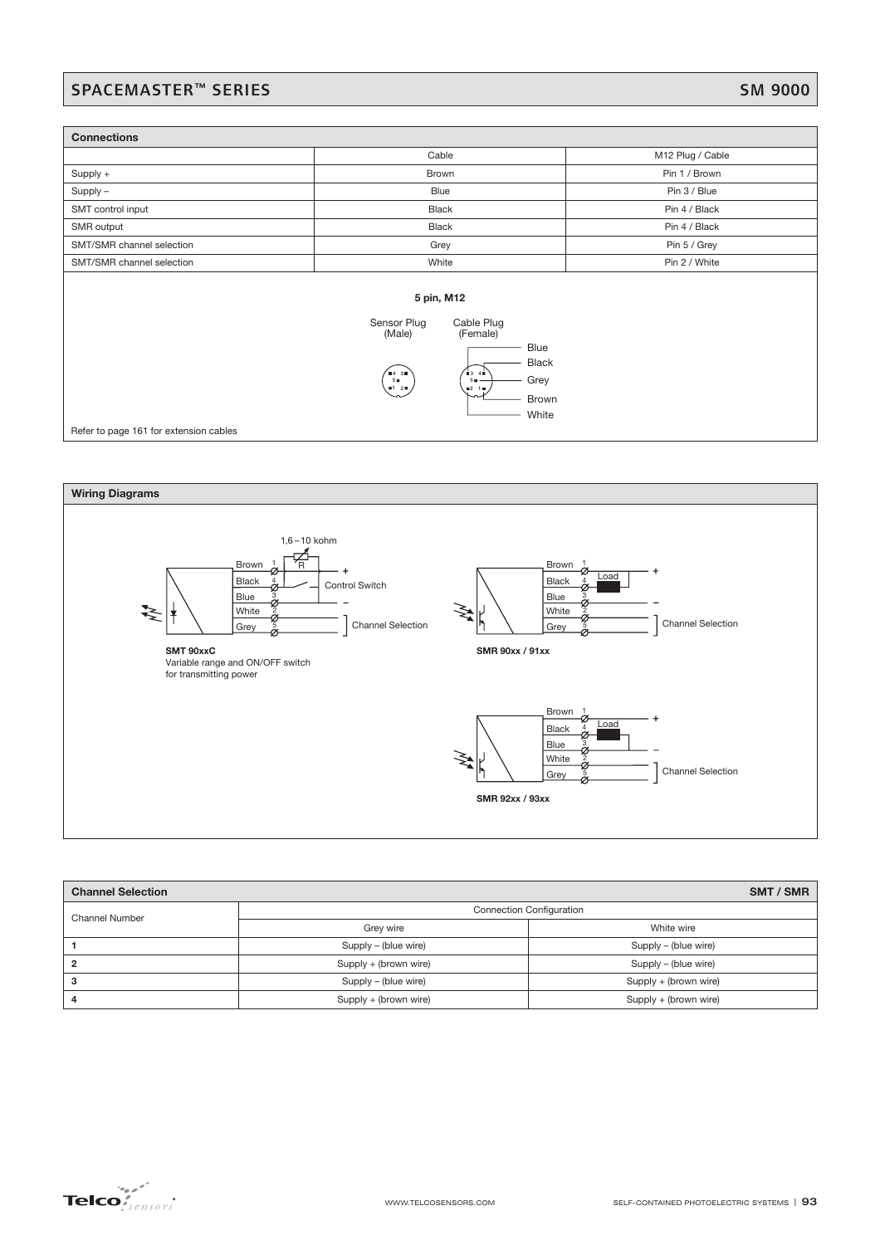## SPACEMASTER™ SERIES SM 9000

| <b>Connections</b>                     |                                                                                                                                                                                     |                  |  |  |  |  |
|----------------------------------------|-------------------------------------------------------------------------------------------------------------------------------------------------------------------------------------|------------------|--|--|--|--|
|                                        | Cable                                                                                                                                                                               | M12 Plug / Cable |  |  |  |  |
| Supply +                               | Brown                                                                                                                                                                               | Pin 1 / Brown    |  |  |  |  |
| $Supply -$                             | Blue                                                                                                                                                                                | Pin 3 / Blue     |  |  |  |  |
| SMT control input                      | <b>Black</b>                                                                                                                                                                        | Pin 4 / Black    |  |  |  |  |
| SMR output                             | <b>Black</b>                                                                                                                                                                        | Pin 4 / Black    |  |  |  |  |
| SMT/SMR channel selection              | Grey                                                                                                                                                                                |                  |  |  |  |  |
| SMT/SMR channel selection              | White                                                                                                                                                                               | Pin 2 / White    |  |  |  |  |
| Refer to page 161 for extension cables | 5 pin, M12<br>Sensor Plug<br>Cable Plug<br>(Male)<br>(Female)<br>Blue<br><b>Black</b><br>$\bullet$ 4 30<br>$\bullet$ 3 40<br>Grey<br>50<br>50.<br>$-120$<br>92.19<br>Brown<br>White |                  |  |  |  |  |



| <b>Channel Selection</b> |                                 | SMT / SMR             |  |  |  |
|--------------------------|---------------------------------|-----------------------|--|--|--|
| Channel Number           | <b>Connection Configuration</b> |                       |  |  |  |
|                          | Grey wire                       | White wire            |  |  |  |
|                          | Supply – (blue wire)            | Supply – (blue wire)  |  |  |  |
|                          | Supply + (brown wire)           | Supply – (blue wire)  |  |  |  |
| ۰.                       | Supply – (blue wire)            | Supply + (brown wire) |  |  |  |
|                          | Supply + (brown wire)           | Supply + (brown wire) |  |  |  |